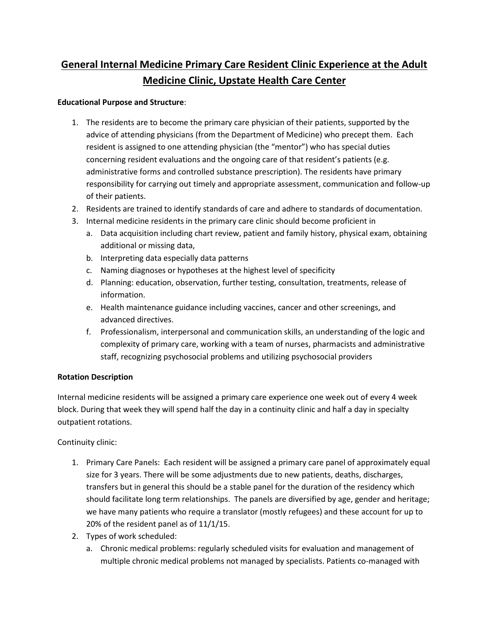# **General Internal Medicine Primary Care Resident Clinic Experience at the Adult Medicine Clinic, Upstate Health Care Center**

#### **Educational Purpose and Structure**:

- 1. The residents are to become the primary care physician of their patients, supported by the advice of attending physicians (from the Department of Medicine) who precept them. Each resident is assigned to one attending physician (the "mentor") who has special duties concerning resident evaluations and the ongoing care of that resident's patients (e.g. administrative forms and controlled substance prescription). The residents have primary responsibility for carrying out timely and appropriate assessment, communication and follow-up of their patients.
- 2. Residents are trained to identify standards of care and adhere to standards of documentation.
- 3. Internal medicine residents in the primary care clinic should become proficient in
	- a. Data acquisition including chart review, patient and family history, physical exam, obtaining additional or missing data,
	- b. Interpreting data especially data patterns
	- c. Naming diagnoses or hypotheses at the highest level of specificity
	- d. Planning: education, observation, further testing, consultation, treatments, release of information.
	- e. Health maintenance guidance including vaccines, cancer and other screenings, and advanced directives.
	- f. Professionalism, interpersonal and communication skills, an understanding of the logic and complexity of primary care, working with a team of nurses, pharmacists and administrative staff, recognizing psychosocial problems and utilizing psychosocial providers

#### **Rotation Description**

Internal medicine residents will be assigned a primary care experience one week out of every 4 week block. During that week they will spend half the day in a continuity clinic and half a day in specialty outpatient rotations.

Continuity clinic:

- 1. Primary Care Panels: Each resident will be assigned a primary care panel of approximately equal size for 3 years. There will be some adjustments due to new patients, deaths, discharges, transfers but in general this should be a stable panel for the duration of the residency which should facilitate long term relationships. The panels are diversified by age, gender and heritage; we have many patients who require a translator (mostly refugees) and these account for up to 20% of the resident panel as of 11/1/15.
- 2. Types of work scheduled:
	- a. Chronic medical problems: regularly scheduled visits for evaluation and management of multiple chronic medical problems not managed by specialists. Patients co-managed with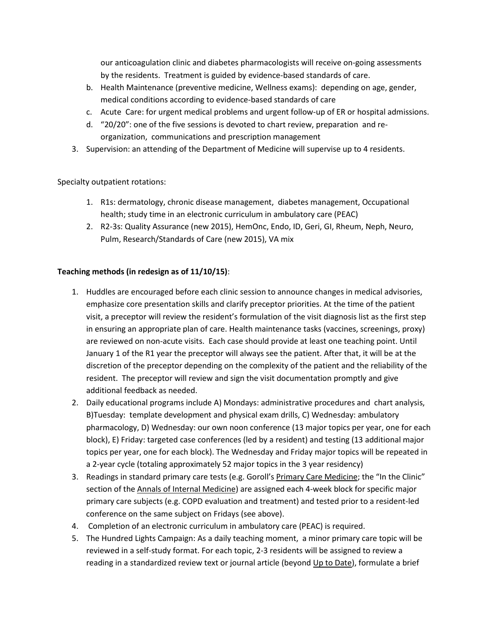our anticoagulation clinic and diabetes pharmacologists will receive on-going assessments by the residents. Treatment is guided by evidence-based standards of care.

- b. Health Maintenance (preventive medicine, Wellness exams): depending on age, gender, medical conditions according to evidence-based standards of care
- c. Acute Care: for urgent medical problems and urgent follow-up of ER or hospital admissions.
- d. "20/20": one of the five sessions is devoted to chart review, preparation and reorganization, communications and prescription management
- 3. Supervision: an attending of the Department of Medicine will supervise up to 4 residents.

Specialty outpatient rotations:

- 1. R1s: dermatology, chronic disease management, diabetes management, Occupational health; study time in an electronic curriculum in ambulatory care (PEAC)
- 2. R2-3s: Quality Assurance (new 2015), HemOnc, Endo, ID, Geri, GI, Rheum, Neph, Neuro, Pulm, Research/Standards of Care (new 2015), VA mix

### **Teaching methods (in redesign as of 11/10/15)**:

- 1. Huddles are encouraged before each clinic session to announce changes in medical advisories, emphasize core presentation skills and clarify preceptor priorities. At the time of the patient visit, a preceptor will review the resident's formulation of the visit diagnosis list as the first step in ensuring an appropriate plan of care. Health maintenance tasks (vaccines, screenings, proxy) are reviewed on non-acute visits. Each case should provide at least one teaching point. Until January 1 of the R1 year the preceptor will always see the patient. After that, it will be at the discretion of the preceptor depending on the complexity of the patient and the reliability of the resident. The preceptor will review and sign the visit documentation promptly and give additional feedback as needed.
- 2. Daily educational programs include A) Mondays: administrative procedures and chart analysis, B)Tuesday: template development and physical exam drills, C) Wednesday: ambulatory pharmacology, D) Wednesday: our own noon conference (13 major topics per year, one for each block), E) Friday: targeted case conferences (led by a resident) and testing (13 additional major topics per year, one for each block). The Wednesday and Friday major topics will be repeated in a 2-year cycle (totaling approximately 52 major topics in the 3 year residency)
- 3. Readings in standard primary care tests (e.g. Goroll's Primary Care Medicine; the "In the Clinic" section of the Annals of Internal Medicine) are assigned each 4-week block for specific major primary care subjects (e.g. COPD evaluation and treatment) and tested prior to a resident-led conference on the same subject on Fridays (see above).
- 4. Completion of an electronic curriculum in ambulatory care (PEAC) is required.
- 5. The Hundred Lights Campaign: As a daily teaching moment, a minor primary care topic will be reviewed in a self-study format. For each topic, 2-3 residents will be assigned to review a reading in a standardized review text or journal article (beyond Up to Date), formulate a brief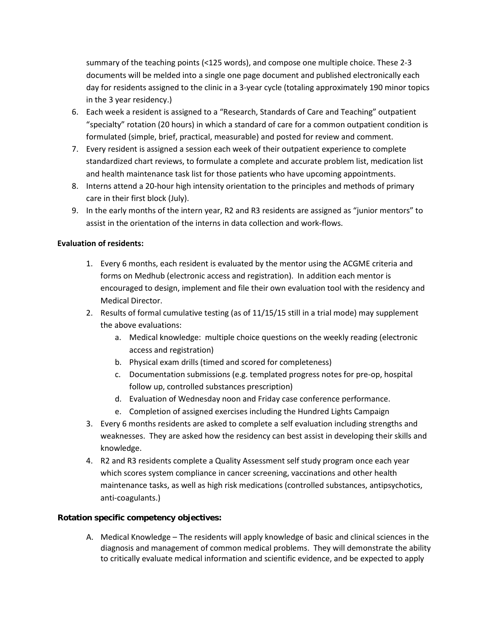summary of the teaching points (<125 words), and compose one multiple choice. These 2-3 documents will be melded into a single one page document and published electronically each day for residents assigned to the clinic in a 3-year cycle (totaling approximately 190 minor topics in the 3 year residency.)

- 6. Each week a resident is assigned to a "Research, Standards of Care and Teaching" outpatient "specialty" rotation (20 hours) in which a standard of care for a common outpatient condition is formulated (simple, brief, practical, measurable) and posted for review and comment.
- 7. Every resident is assigned a session each week of their outpatient experience to complete standardized chart reviews, to formulate a complete and accurate problem list, medication list and health maintenance task list for those patients who have upcoming appointments.
- 8. Interns attend a 20-hour high intensity orientation to the principles and methods of primary care in their first block (July).
- 9. In the early months of the intern year, R2 and R3 residents are assigned as "junior mentors" to assist in the orientation of the interns in data collection and work-flows.

#### **Evaluation of residents:**

- 1. Every 6 months, each resident is evaluated by the mentor using the ACGME criteria and forms on Medhub (electronic access and registration). In addition each mentor is encouraged to design, implement and file their own evaluation tool with the residency and Medical Director.
- 2. Results of formal cumulative testing (as of 11/15/15 still in a trial mode) may supplement the above evaluations:
	- a. Medical knowledge: multiple choice questions on the weekly reading (electronic access and registration)
	- b. Physical exam drills (timed and scored for completeness)
	- c. Documentation submissions (e.g. templated progress notes for pre-op, hospital follow up, controlled substances prescription)
	- d. Evaluation of Wednesday noon and Friday case conference performance.
	- e. Completion of assigned exercises including the Hundred Lights Campaign
- 3. Every 6 months residents are asked to complete a self evaluation including strengths and weaknesses. They are asked how the residency can best assist in developing their skills and knowledge.
- 4. R2 and R3 residents complete a Quality Assessment self study program once each year which scores system compliance in cancer screening, vaccinations and other health maintenance tasks, as well as high risk medications (controlled substances, antipsychotics, anti-coagulants.)

#### **Rotation specific competency objectives:**

A. Medical Knowledge – The residents will apply knowledge of basic and clinical sciences in the diagnosis and management of common medical problems. They will demonstrate the ability to critically evaluate medical information and scientific evidence, and be expected to apply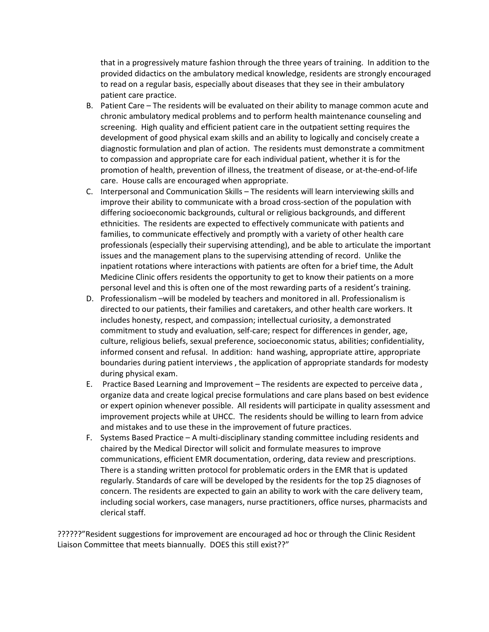that in a progressively mature fashion through the three years of training. In addition to the provided didactics on the ambulatory medical knowledge, residents are strongly encouraged to read on a regular basis, especially about diseases that they see in their ambulatory patient care practice.

- B. Patient Care The residents will be evaluated on their ability to manage common acute and chronic ambulatory medical problems and to perform health maintenance counseling and screening. High quality and efficient patient care in the outpatient setting requires the development of good physical exam skills and an ability to logically and concisely create a diagnostic formulation and plan of action. The residents must demonstrate a commitment to compassion and appropriate care for each individual patient, whether it is for the promotion of health, prevention of illness, the treatment of disease, or at-the-end-of-life care. House calls are encouraged when appropriate.
- C. Interpersonal and Communication Skills The residents will learn interviewing skills and improve their ability to communicate with a broad cross-section of the population with differing socioeconomic backgrounds, cultural or religious backgrounds, and different ethnicities. The residents are expected to effectively communicate with patients and families, to communicate effectively and promptly with a variety of other health care professionals (especially their supervising attending), and be able to articulate the important issues and the management plans to the supervising attending of record. Unlike the inpatient rotations where interactions with patients are often for a brief time, the Adult Medicine Clinic offers residents the opportunity to get to know their patients on a more personal level and this is often one of the most rewarding parts of a resident's training.
- D. Professionalism –will be modeled by teachers and monitored in all. Professionalism is directed to our patients, their families and caretakers, and other health care workers. It includes honesty, respect, and compassion; intellectual curiosity, a demonstrated commitment to study and evaluation, self-care; respect for differences in gender, age, culture, religious beliefs, sexual preference, socioeconomic status, abilities; confidentiality, informed consent and refusal. In addition: hand washing, appropriate attire, appropriate boundaries during patient interviews , the application of appropriate standards for modesty during physical exam.
- E. Practice Based Learning and Improvement The residents are expected to perceive data , organize data and create logical precise formulations and care plans based on best evidence or expert opinion whenever possible. All residents will participate in quality assessment and improvement projects while at UHCC. The residents should be willing to learn from advice and mistakes and to use these in the improvement of future practices.
- F. Systems Based Practice A multi-disciplinary standing committee including residents and chaired by the Medical Director will solicit and formulate measures to improve communications, efficient EMR documentation, ordering, data review and prescriptions. There is a standing written protocol for problematic orders in the EMR that is updated regularly. Standards of care will be developed by the residents for the top 25 diagnoses of concern. The residents are expected to gain an ability to work with the care delivery team, including social workers, case managers, nurse practitioners, office nurses, pharmacists and clerical staff.

??????"Resident suggestions for improvement are encouraged ad hoc or through the Clinic Resident Liaison Committee that meets biannually. DOES this still exist??"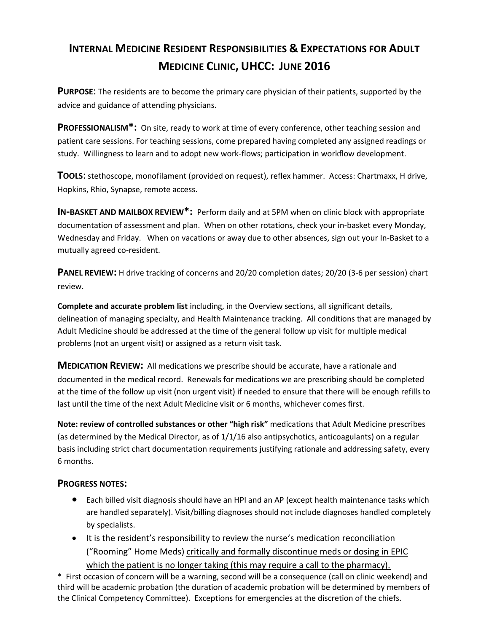# **INTERNAL MEDICINE RESIDENT RESPONSIBILITIES & EXPECTATIONS FOR ADULT MEDICINE CLINIC, UHCC: JUNE 2016**

**PURPOSE**: The residents are to become the primary care physician of their patients, supported by the advice and guidance of attending physicians.

**PROFESSIONALISM\*:** On site, ready to work at time of every conference, other teaching session and patient care sessions. For teaching sessions, come prepared having completed any assigned readings or study. Willingness to learn and to adopt new work-flows; participation in workflow development.

**TOOLS**: stethoscope, monofilament (provided on request), reflex hammer. Access: Chartmaxx, H drive, Hopkins, Rhio, Synapse, remote access.

**IN-BASKET AND MAILBOX REVIEW\*:** Perform daily and at 5PM when on clinic block with appropriate documentation of assessment and plan. When on other rotations, check your in-basket every Monday, Wednesday and Friday. When on vacations or away due to other absences, sign out your In-Basket to a mutually agreed co-resident.

**PANEL REVIEW:** H drive tracking of concerns and 20/20 completion dates; 20/20 (3-6 per session) chart review.

**Complete and accurate problem list** including, in the Overview sections, all significant details, delineation of managing specialty, and Health Maintenance tracking. All conditions that are managed by Adult Medicine should be addressed at the time of the general follow up visit for multiple medical problems (not an urgent visit) or assigned as a return visit task.

**MEDICATION REVIEW:** All medications we prescribe should be accurate, have a rationale and documented in the medical record. Renewals for medications we are prescribing should be completed at the time of the follow up visit (non urgent visit) if needed to ensure that there will be enough refills to last until the time of the next Adult Medicine visit or 6 months, whichever comes first.

**Note: review of controlled substances or other "high risk"** medications that Adult Medicine prescribes (as determined by the Medical Director, as of 1/1/16 also antipsychotics, anticoagulants) on a regular basis including strict chart documentation requirements justifying rationale and addressing safety, every 6 months.

## **PROGRESS NOTES:**

- Each billed visit diagnosis should have an HPI and an AP (except health maintenance tasks which are handled separately). Visit/billing diagnoses should not include diagnoses handled completely by specialists.
- It is the resident's responsibility to review the nurse's medication reconciliation ("Rooming" Home Meds) critically and formally discontinue meds or dosing in EPIC which the patient is no longer taking (this may require a call to the pharmacy).

\* First occasion of concern will be a warning, second will be a consequence (call on clinic weekend) and third will be academic probation (the duration of academic probation will be determined by members of the Clinical Competency Committee). Exceptions for emergencies at the discretion of the chiefs.